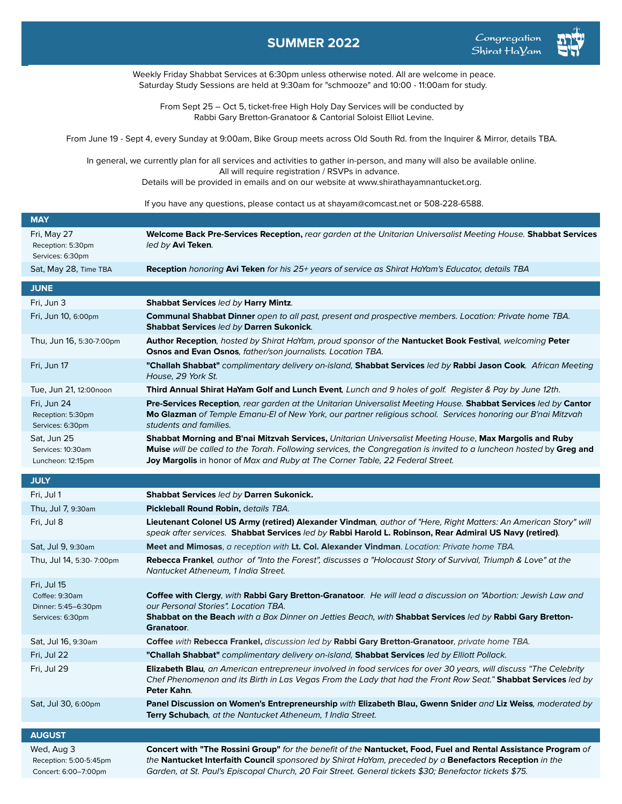## **SUMMER 2022**



Weekly Friday Shabbat Services at 6:30pm unless otherwise noted. All are welcome in peace. Saturday Study Sessions are held at 9:30am for "schmooze" and 10:00 - 11:00am for study.

From Sept 25 – Oct 5, ticket-free High Holy Day Services will be conducted by Rabbi Gary Bretton-Granatoor & Cantorial Soloist Elliot Levine.

From June 19 - Sept 4, every Sunday at 9:00am, Bike Group meets across Old South Rd. from the Inquirer & Mirror, details TBA.

In general, we currently plan for all services and activities to gather in-person, and many will also be available online. All will require registration / RSVPs in advance. Details will be provided in emails and on our website at www.shirathayamnantucket.org.

If you have any questions, please contact us at shayam@comcast.net or 508-228-6588.

| <b>MAY</b>                                                   |                                                                                                                                                                                                                                                                                                                                    |
|--------------------------------------------------------------|------------------------------------------------------------------------------------------------------------------------------------------------------------------------------------------------------------------------------------------------------------------------------------------------------------------------------------|
| Fri, May 27<br>Reception: 5:30pm<br>Services: 6:30pm         | Welcome Back Pre-Services Reception, rear garden at the Unitarian Universalist Meeting House. Shabbat Services<br>led by Avi Teken.                                                                                                                                                                                                |
| Sat, May 28, Time TBA                                        | <b>Reception</b> honoring Avi Teken for his 25+ years of service as Shirat HaYam's Educator, details TBA                                                                                                                                                                                                                           |
| <b>JUNE</b>                                                  |                                                                                                                                                                                                                                                                                                                                    |
| Fri, Jun 3                                                   | <b>Shabbat Services led by Harry Mintz.</b>                                                                                                                                                                                                                                                                                        |
| Fri, Jun 10, 6:00pm                                          | Communal Shabbat Dinner open to all past, present and prospective members. Location: Private home TBA.<br>Shabbat Services led by Darren Sukonick.                                                                                                                                                                                 |
| Thu, Jun 16, 5:30-7:00pm                                     | Author Reception, hosted by Shirat HaYam, proud sponsor of the Nantucket Book Festival, welcoming Peter<br>Osnos and Evan Osnos, father/son journalists. Location TBA.                                                                                                                                                             |
| Fri, Jun 17                                                  | "Challah Shabbat" complimentary delivery on-island, Shabbat Services led by Rabbi Jason Cook. African Meeting<br>House, 29 York St.                                                                                                                                                                                                |
| Tue, Jun 21, 12:00noon                                       | Third Annual Shirat HaYam Golf and Lunch Event, Lunch and 9 holes of golf. Register & Pay by June 12th.                                                                                                                                                                                                                            |
| Fri, Jun 24<br>Reception: 5:30pm<br>Services: 6:30pm         | Pre-Services Reception, rear garden at the Unitarian Universalist Meeting House. Shabbat Services led by Cantor<br>Mo Glazman of Temple Emanu-EI of New York, our partner religious school. Services honoring our B'nai Mitzvah<br>students and families.                                                                          |
| Sat, Jun 25<br>Services: 10:30am<br>Luncheon: 12:15pm        | Shabbat Morning and B'nai Mitzvah Services, Unitarian Universalist Meeting House, Max Margolis and Ruby<br>Muise will be called to the Torah. Following services, the Congregation is invited to a luncheon hosted by Greg and<br>Joy Margolis in honor of Max and Ruby at The Corner Table, 22 Federal Street.                    |
| <b>JULY</b>                                                  |                                                                                                                                                                                                                                                                                                                                    |
| Fri, Jul 1                                                   | Shabbat Services led by Darren Sukonick.                                                                                                                                                                                                                                                                                           |
| Thu, Jul 7, 9:30am                                           | Pickleball Round Robin, details TBA.                                                                                                                                                                                                                                                                                               |
| Fri, Jul 8                                                   | Lieutenant Colonel US Army (retired) Alexander Vindman, author of "Here, Right Matters: An American Story" will<br>speak after services. Shabbat Services led by Rabbi Harold L. Robinson, Rear Admiral US Navy (retired).                                                                                                         |
| Sat, Jul 9, 9:30am                                           | Meet and Mimosas, a reception with Lt. Col. Alexander Vindman. Location: Private home TBA.                                                                                                                                                                                                                                         |
| Thu, Jul 14, 5:30- 7:00pm                                    | Rebecca Frankel, author of "Into the Forest", discusses a "Holocaust Story of Survival, Triumph & Love" at the<br>Nantucket Atheneum, 1 India Street.                                                                                                                                                                              |
| Fri, Jul 15                                                  |                                                                                                                                                                                                                                                                                                                                    |
| Coffee: 9:30am<br>Dinner: 5:45-6:30pm                        | Coffee with Clergy, with Rabbi Gary Bretton-Granatoor. He will lead a discussion on "Abortion: Jewish Law and<br>our Personal Stories". Location TBA.                                                                                                                                                                              |
| Services: 6:30pm                                             | Shabbat on the Beach with a Box Dinner on Jetties Beach, with Shabbat Services led by Rabbi Gary Bretton-<br>Granatoor.                                                                                                                                                                                                            |
| Sat, Jul 16, 9:30am                                          | Coffee with Rebecca Frankel, discussion led by Rabbi Gary Bretton-Granatoor, private home TBA.                                                                                                                                                                                                                                     |
| Fri, Jul 22                                                  | "Challah Shabbat" complimentary delivery on-island, Shabbat Services led by Elliott Pollack.                                                                                                                                                                                                                                       |
| Fri, Jul 29                                                  | Elizabeth Blau, an American entrepreneur involved in food services for over 30 years, will discuss "The Celebrity<br>Chef Phenomenon and its Birth in Las Vegas From the Lady that had the Front Row Seat." Shabbat Services led by<br>Peter Kahn.                                                                                 |
| Sat, Jul 30, 6:00pm                                          | Panel Discussion on Women's Entrepreneurship with Elizabeth Blau, Gwenn Snider and Liz Weiss, moderated by<br>Terry Schubach, at the Nantucket Atheneum, 1 India Street.                                                                                                                                                           |
| <b>AUGUST</b>                                                |                                                                                                                                                                                                                                                                                                                                    |
| Wed, Aug 3<br>Reception: 5:00-5:45pm<br>Concert: 6:00-7:00pm | Concert with "The Rossini Group" for the benefit of the Nantucket, Food, Fuel and Rental Assistance Program of<br>the Nantucket Interfaith Council sponsored by Shirat HaYam, preceded by a Benefactors Reception in the<br>Garden, at St. Paul's Episcopal Church, 20 Fair Street. General tickets \$30; Benefactor tickets \$75. |